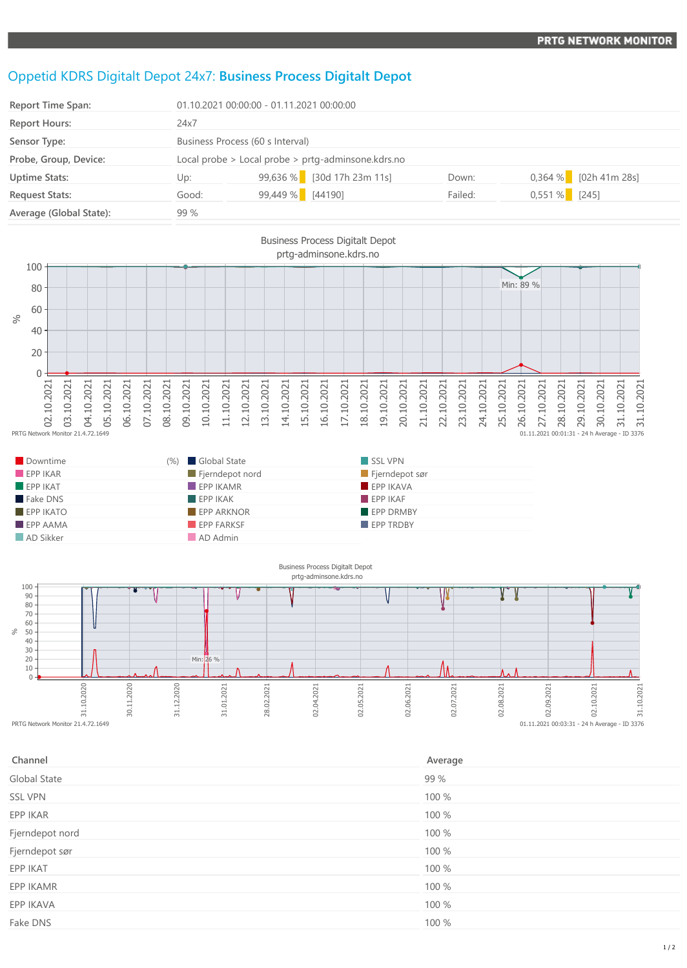## Oppetid KDRS Digitalt Depot 24x7: **Business Process Digitalt Depot**

| Report Time Span:       | 01.10.2021 00:00:00 - 01.11.2021 00:00:00          |                  |                              |         |                 |                         |
|-------------------------|----------------------------------------------------|------------------|------------------------------|---------|-----------------|-------------------------|
| <b>Report Hours:</b>    | 24x7                                               |                  |                              |         |                 |                         |
| Sensor Type:            | Business Process (60 s Interval)                   |                  |                              |         |                 |                         |
| Probe, Group, Device:   | Local probe > Local probe > prtg-adminsone.kdrs.no |                  |                              |         |                 |                         |
| <b>Uptime Stats:</b>    | Up:                                                |                  | $99,636\%$ [30d 17h 23m 11s] | Down:   |                 | $0,364\%$ [02h 41m 28s] |
| <b>Request Stats:</b>   | Good:                                              | 99,449 % [44190] |                              | Failed: | $0,551\%$ [245] |                         |
| Average (Global State): | 99 %                                               |                  |                              |         |                 |                         |







| Channel         | Average |
|-----------------|---------|
| Global State    | 99 %    |
| <b>SSL VPN</b>  | 100 %   |
| EPP IKAR        | 100 %   |
| Fjerndepot nord | 100 %   |
| Fjerndepot sør  | 100 %   |
| EPP IKAT        | 100 %   |
| EPP IKAMR       | 100 %   |
| EPP IKAVA       | 100 %   |
| Fake DNS        | 100 %   |
|                 |         |